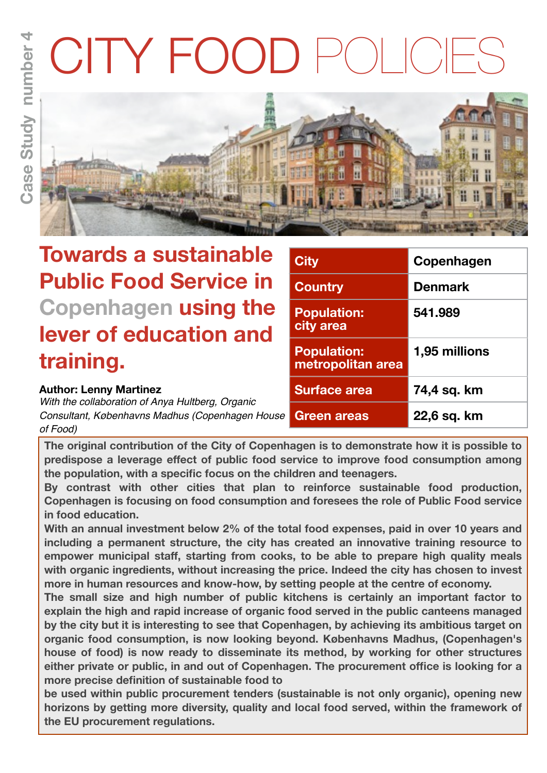# CITY FOOD



# **Towards a sustainable Public Food Service in Copenhagen using the lever of education and training.**

### **Author: Lenny Martinez**

*With the collaboration of Anya Hultberg, Organic Consultant, Københavns Madhus (Copenhagen House of Food)*

| <b>City</b>                             | Copenhagen     |  |
|-----------------------------------------|----------------|--|
| <b>Country</b>                          | <b>Denmark</b> |  |
| <b>Population:</b><br>city area         | 541.989        |  |
| <b>Population:</b><br>metropolitan area | 1,95 millions  |  |
| <b>Surface area</b>                     | 74,4 sq. km    |  |
| <b>Green areas</b>                      | 22,6 sq. km    |  |

**The original contribution of the City of Copenhagen is to demonstrate how it is possible to predispose a leverage effect of public food service to improve food consumption among the population, with a specific focus on the children and teenagers.** 

**By contrast with other cities that plan to reinforce sustainable food production, Copenhagen is focusing on food consumption and foresees the role of Public Food service in food education.** 

**With an annual investment below 2% of the total food expenses, paid in over 10 years and including a permanent structure, the city has created an innovative training resource to empower municipal staff, starting from cooks, to be able to prepare high quality meals with organic ingredients, without increasing the price. Indeed the city has chosen to invest more in human resources and know-how, by setting people at the centre of economy.** 

**The small size and high number of public kitchens is certainly an important factor to explain the high and rapid increase of organic food served in the public canteens managed by the city but it is interesting to see that Copenhagen, by achieving its ambitious target on organic food consumption, is now looking beyond. Københavns Madhus, (Copenhagen's house of food) is now ready to disseminate its method, by working for other structures either private or public, in and out of Copenhagen. The procurement office is looking for a more precise definition of sustainable food to**

**be used within public procurement tenders (sustainable is not only organic), opening new horizons by getting more diversity, quality and local food served, within the framework of the EU procurement regulations.**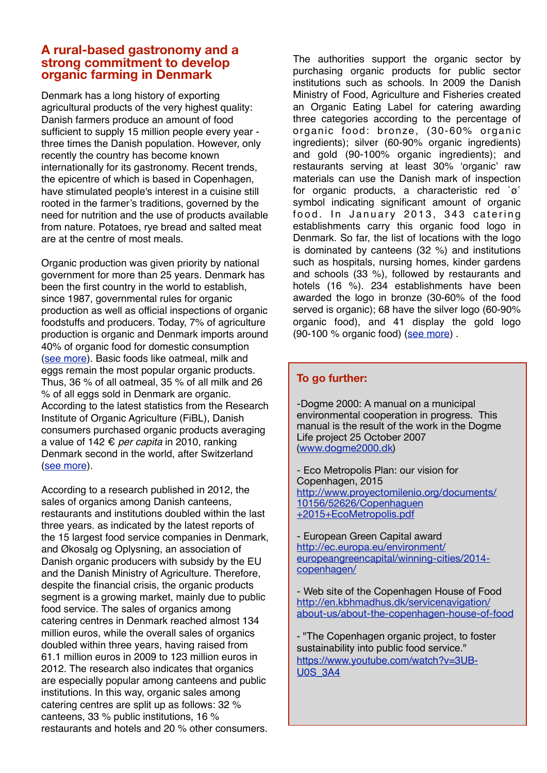#### **A rural-based gastronomy and a strong commitment to develop organic farming in Denmark**

Denmark has a long history of exporting agricultural products of the very highest quality: Danish farmers produce an amount of food sufficient to supply 15 million people every year three times the Danish population. However, only recently the country has become known internationally for its gastronomy. Recent trends, the epicentre of which is based in Copenhagen, have stimulated people's interest in a cuisine still rooted in the farmer's traditions, governed by the need for nutrition and the use of products available from nature. Potatoes, rye bread and salted meat are at the centre of most meals.

Organic production was given priority by national government for more than 25 years. Denmark has been the first country in the world to establish, since 1987, governmental rules for organic production as well as official inspections of organic foodstuffs and producers. Today, 7% of agriculture production is organic and Denmark imports around 40% of organic food for domestic consumption [\(see more\)](http://eu2012.dk/en/Meetings/InformalMeetings/Jun/~/media/Files/Informal%20ministerial%20meetings/Informel%20AGRI/1903_Faktaark_FVM_Formandssk_Organic%20production_v3_4korr.pdf). Basic foods like oatmeal, milk and eggs remain the most popular organic products. Thus, 36 % of all oatmeal, 35 % of all milk and 26 % of all eggs sold in Denmark are organic. According to the latest statistics from the Research Institute of Organic Agriculture (FiBL), Danish consumers purchased organic products averaging a value of 142 € *per capita* in 2010, ranking Denmark second in the world, after Switzerland [\(see more\)](http://eu2012.dk/en/Meetings/InformalMeetings/Jun/~/media/Files/Informal%20ministerial%20meetings/Informel%20AGRI/1903_Faktaark_FVM_Formandssk_Organic%20production_v3_4korr.pdf).

According to a research published in 2012, the sales of organics among Danish canteens, restaurants and institutions doubled within the last three years. as indicated by the latest reports of the 15 largest food service companies in Denmark, and Økosalg og Oplysning, an association of Danish organic producers with subsidy by the EU and the Danish Ministry of Agriculture. Therefore, despite the financial crisis, the organic products segment is a growing market, mainly due to public food service. The sales of organics among catering centres in Denmark reached almost 134 million euros, while the overall sales of organics doubled within three years, having raised from 61.1 million euros in 2009 to 123 million euros in 2012. The research also indicates that organics are especially popular among canteens and public institutions. In this way, organic sales among catering centres are split up as follows: 32 % canteens, 33 % public institutions, 16 % restaurants and hotels and 20 % other consumers.

The authorities support the organic sector by purchasing organic products for public sector institutions such as schools. In 2009 the Danish Ministry of Food, Agriculture and Fisheries created an Organic Eating Label for catering awarding three categories according to the percentage of organic food: bronze, (30-60% organic ingredients); silver (60-90% organic ingredients) and gold (90-100% organic ingredients); and restaurants serving at least 30% 'organic' raw materials can use the Danish mark of inspection for organic products, a characteristic red `ø´ symbol indicating significant amount of organic food. In January 2013, 343 catering establishments carry this organic food logo in Denmark. So far, the list of locations with the logo is dominated by canteens (32 %) and institutions such as hospitals, nursing homes, kinder gardens and schools (33 %), followed by restaurants and hotels (16 %). 234 establishments have been awarded the logo in bronze (30-60% of the food served is organic); 68 have the silver logo (60-90% organic food), and 41 display the gold logo (90-100 % organic food) [\(see more\)](http://www.organic-market.info/web/News_in_brief/Regional_Marketing/Denmark/176/194/0/13876.html) .

#### **To go further:**

-Dogme 2000: A manual on a municipal environmental cooperation in progress. This manual is the result of the work in the Dogme Life project 25 October 2007 [\(www.dogme2000.dk\)](http://www.dogme2000.dk)

- Eco Metropolis Plan: our vision for Copenhagen, 2015 [http://www.proyectomilenio.org/documents/](http://www.proyectomilenio.org/documents/10156/52626/Copenhaguen+2015+EcoMetropolis.pdf) [10156/52626/Copenhaguen](http://www.proyectomilenio.org/documents/10156/52626/Copenhaguen+2015+EcoMetropolis.pdf) [+2015+EcoMetropolis.pdf](http://www.proyectomilenio.org/documents/10156/52626/Copenhaguen+2015+EcoMetropolis.pdf)

- European Green Capital award [http://ec.europa.eu/environment/](http://ec.europa.eu/environment/europeangreencapital/winning-cities/2014-copenhagen/) [europeangreencapital/winning-cities/2014](http://ec.europa.eu/environment/europeangreencapital/winning-cities/2014-copenhagen/) [copenhagen/](http://ec.europa.eu/environment/europeangreencapital/winning-cities/2014-copenhagen/) 

- Web site of the Copenhagen House of Food [http://en.kbhmadhus.dk/servicenavigation/](http://en.kbhmadhus.dk/servicenavigation/about-us/about-the-copenhagen-house-of-food) [about-us/about-the-copenhagen-house-of-food](http://en.kbhmadhus.dk/servicenavigation/about-us/about-the-copenhagen-house-of-food)

- "The Copenhagen organic project, to foster sustainability into public food service." [https://www.youtube.com/watch?v=3UB-](https://www.youtube.com/watch?v=3UB-U0S_3A4)[U0S\\_3A4](https://www.youtube.com/watch?v=3UB-U0S_3A4)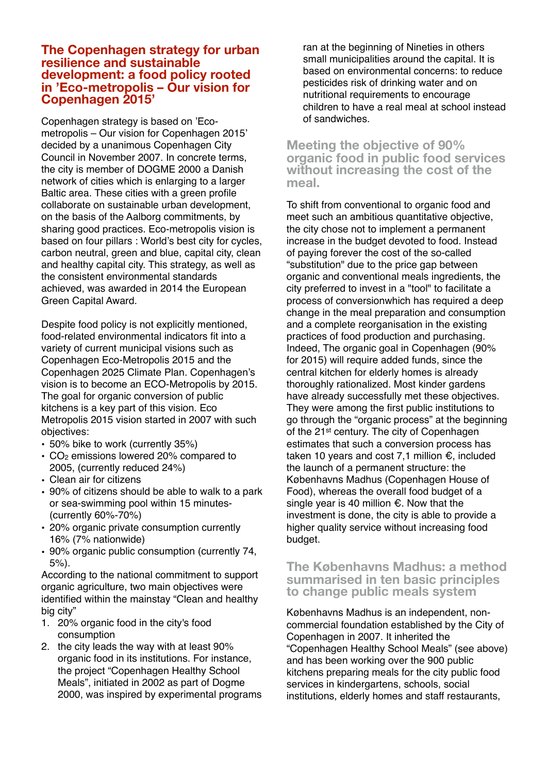#### **The Copenhagen strategy for urban resilience and sustainable development: a food policy rooted in 'Eco-metropolis – Our vision for Copenhagen 2015'**

Copenhagen strategy is based on 'Ecometropolis – Our vision for Copenhagen 2015' decided by a unanimous Copenhagen City Council in November 2007. In concrete terms, the city is member of DOGME 2000 a Danish network of cities which is enlarging to a larger Baltic area. These cities with a green profile collaborate on sustainable urban development, on the basis of the Aalborg commitments, by sharing good practices. Eco-metropolis vision is based on four pillars : World's best city for cycles, carbon neutral, green and blue, capital city, clean and healthy capital city. This strategy, as well as the consistent environmental standards achieved, was awarded in 2014 the European Green Capital Award.

Despite food policy is not explicitly mentioned, food-related environmental indicators fit into a variety of current municipal visions such as Copenhagen Eco-Metropolis 2015 and the Copenhagen 2025 Climate Plan. Copenhagen's vision is to become an ECO-Metropolis by 2015. The goal for organic conversion of public kitchens is a key part of this vision. Eco Metropolis 2015 vision started in 2007 with such objectives:

- 50% bike to work (currently 35%)
- $\cdot$  CO<sub>2</sub> emissions lowered 20% compared to 2005, (currently reduced 24%)
- Clean air for citizens
- 90% of citizens should be able to walk to a park or sea-swimming pool within 15 minutes- (currently 60%-70%)
- 20% organic private consumption currently 16% (7% nationwide)
- 90% organic public consumption (currently 74, 5%).

According to the national commitment to support organic agriculture, two main objectives were identified within the mainstay "Clean and healthy big city"

- 1. 20% organic food in the city's food consumption
- 2. the city leads the way with at least 90% organic food in its institutions. For instance, the project "Copenhagen Healthy School Meals", initiated in 2002 as part of Dogme 2000, was inspired by experimental programs

ran at the beginning of Nineties in others small municipalities around the capital. It is based on environmental concerns: to reduce pesticides risk of drinking water and on nutritional requirements to encourage children to have a real meal at school instead of sandwiches.

#### **Meeting the objective of 90% organic food in public food services without increasing the cost of the meal.**

To shift from conventional to organic food and meet such an ambitious quantitative objective, the city chose not to implement a permanent increase in the budget devoted to food. Instead of paying forever the cost of the so-called "substitution" due to the price gap between organic and conventional meals ingredients, the city preferred to invest in a "tool" to facilitate a process of conversionwhich has required a deep change in the meal preparation and consumption and a complete reorganisation in the existing practices of food production and purchasing. Indeed, The organic goal in Copenhagen (90% for 2015) will require added funds, since the central kitchen for elderly homes is already thoroughly rationalized. Most kinder gardens have already successfully met these objectives. They were among the first public institutions to go through the "organic process" at the beginning of the 21st century. The city of Copenhagen estimates that such a conversion process has taken 10 years and cost 7,1 million €, included the launch of a permanent structure: the Københavns Madhus (Copenhagen House of Food), whereas the overall food budget of a single year is 40 million €. Now that the investment is done, the city is able to provide a higher quality service without increasing food budget.

#### **The Københavns Madhus: a method summarised in ten basic principles to change public meals system**

Københavns Madhus is an independent, noncommercial foundation established by the City of Copenhagen in 2007. It inherited the "Copenhagen Healthy School Meals" (see above) and has been working over the 900 public kitchens preparing meals for the city public food services in kindergartens, schools, social institutions, elderly homes and staff restaurants,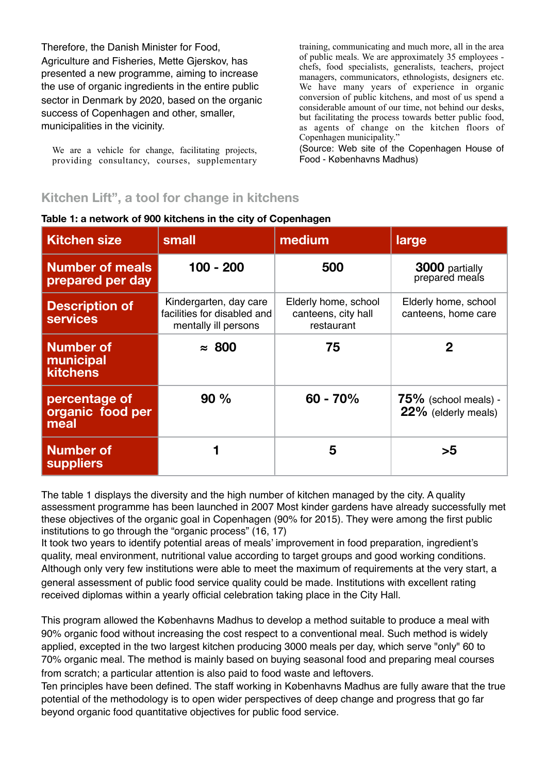Therefore, the Danish Minister for Food, Agriculture and Fisheries, Mette Gjerskov, has presented a new programme, aiming to increase the use of organic ingredients in the entire public sector in Denmark by 2020, based on the organic success of Copenhagen and other, smaller, municipalities in the vicinity.

We are a vehicle for change, facilitating projects, providing consultancy, courses, supplementary training, communicating and much more, all in the area of public meals. We are approximately 35 employees chefs, food specialists, generalists, teachers, project managers, communicators, ethnologists, designers etc. We have many years of experience in organic conversion of public kitchens, and most of us spend a considerable amount of our time, not behind our desks, but facilitating the process towards better public food, as agents of change on the kitchen floors of Copenhagen municipality."

(Source: Web site of the Copenhagen House of Food - Københavns Madhus)

# **Kitchen Lift", a tool for change in kitchens**

| <b>Kitchen size</b>                              | small                                                                         | medium                                                    | large                                          |
|--------------------------------------------------|-------------------------------------------------------------------------------|-----------------------------------------------------------|------------------------------------------------|
| <b>Number of meals</b><br>prepared per day       | $100 - 200$                                                                   | 500                                                       | 3000 partially<br>prepared meals               |
| <b>Description of</b><br><b>services</b>         | Kindergarten, day care<br>facilities for disabled and<br>mentally ill persons | Elderly home, school<br>canteens, city hall<br>restaurant | Elderly home, school<br>canteens, home care    |
| <b>Number of</b><br>municipal<br><b>kitchens</b> | $\approx 800$                                                                 | 75                                                        | 2                                              |
| percentage of<br>organic food per<br>meal        | 90%                                                                           | $60 - 70%$                                                | $75\%$ (school meals) -<br>22% (elderly meals) |
| <b>Number of</b><br><b>suppliers</b>             |                                                                               | 5                                                         | >5                                             |

**Table 1: a network of 900 kitchens in the city of Copenhagen**

The table 1 displays the diversity and the high number of kitchen managed by the city. A quality assessment programme has been launched in 2007 Most kinder gardens have already successfully met these objectives of the organic goal in Copenhagen (90% for 2015). They were among the first public institutions to go through the "organic process" (16, 17)

It took two years to identify potential areas of meals' improvement in food preparation, ingredient's quality, meal environment, nutritional value according to target groups and good working conditions. Although only very few institutions were able to meet the maximum of requirements at the very start, a general assessment of public food service quality could be made. Institutions with excellent rating received diplomas within a yearly official celebration taking place in the City Hall.

This program allowed the Københavns Madhus to develop a method suitable to produce a meal with 90% organic food without increasing the cost respect to a conventional meal. Such method is widely applied, excepted in the two largest kitchen producing 3000 meals per day, which serve "only" 60 to 70% organic meal. The method is mainly based on buying seasonal food and preparing meal courses from scratch; a particular attention is also paid to food waste and leftovers.

Ten principles have been defined. The staff working in Københavns Madhus are fully aware that the true potential of the methodology is to open wider perspectives of deep change and progress that go far beyond organic food quantitative objectives for public food service.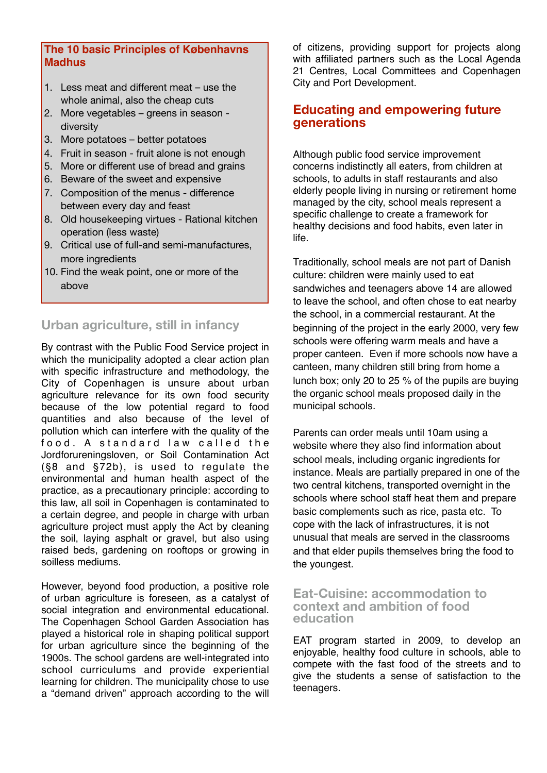#### **The 10 basic Principles of Københavns Madhus**

- 1. Less meat and different meat use the whole animal, also the cheap cuts
- 2. More vegetables greens in season diversity
- 3. More potatoes better potatoes
- 4. Fruit in season fruit alone is not enough
- 5. More or different use of bread and grains
- 6. Beware of the sweet and expensive
- 7. Composition of the menus difference between every day and feast
- 8. Old housekeeping virtues Rational kitchen operation (less waste)
- 9. Critical use of full-and semi-manufactures, more ingredients
- 10. Find the weak point, one or more of the above

**Urban agriculture, still in infancy**

By contrast with the Public Food Service project in which the municipality adopted a clear action plan with specific infrastructure and methodology, the City of Copenhagen is unsure about urban agriculture relevance for its own food security because of the low potential regard to food quantities and also because of the level of pollution which can interfere with the quality of the food. A standard law called the Jordforureningsloven, or Soil Contamination Act (§8 and §72b), is used to regulate the environmental and human health aspect of the practice, as a precautionary principle: according to this law, all soil in Copenhagen is contaminated to a certain degree, and people in charge with urban agriculture project must apply the Act by cleaning the soil, laying asphalt or gravel, but also using raised beds, gardening on rooftops or growing in soilless mediums.

However, beyond food production, a positive role of urban agriculture is foreseen, as a catalyst of social integration and environmental educational. The Copenhagen School Garden Association has played a historical role in shaping political support for urban agriculture since the beginning of the 1900s. The school gardens are well-integrated into school curriculums and provide experiential learning for children. The municipality chose to use a "demand driven" approach according to the will

of citizens, providing support for projects along with affiliated partners such as the Local Agenda 21 Centres, Local Committees and Copenhagen City and Port Development.

#### **Educating and empowering future generations**

Although public food service improvement concerns indistinctly all eaters, from children at schools, to adults in staff restaurants and also elderly people living in nursing or retirement home managed by the city, school meals represent a specific challenge to create a framework for healthy decisions and food habits, even later in life.

Traditionally, school meals are not part of Danish culture: children were mainly used to eat sandwiches and teenagers above 14 are allowed to leave the school, and often chose to eat nearby the school, in a commercial restaurant. At the beginning of the project in the early 2000, very few schools were offering warm meals and have a proper canteen. Even if more schools now have a canteen, many children still bring from home a lunch box; only 20 to 25 % of the pupils are buying the organic school meals proposed daily in the municipal schools.

Parents can order meals until 10am using a website where they also find information about school meals, including organic ingredients for instance. Meals are partially prepared in one of the two central kitchens, transported overnight in the schools where school staff heat them and prepare basic complements such as rice, pasta etc. To cope with the lack of infrastructures, it is not unusual that meals are served in the classrooms and that elder pupils themselves bring the food to the youngest.

#### **Eat-Cuisine: accommodation to context and ambition of food education**

EAT program started in 2009, to develop an enjoyable, healthy food culture in schools, able to compete with the fast food of the streets and to give the students a sense of satisfaction to the teenagers.